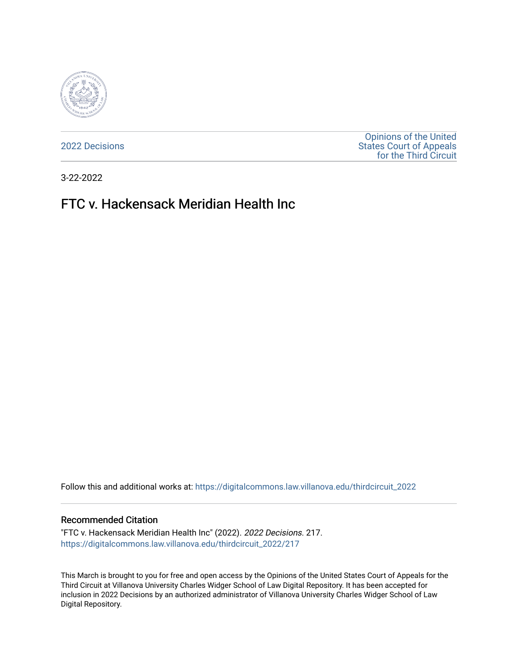

[2022 Decisions](https://digitalcommons.law.villanova.edu/thirdcircuit_2022)

[Opinions of the United](https://digitalcommons.law.villanova.edu/thirdcircuit)  [States Court of Appeals](https://digitalcommons.law.villanova.edu/thirdcircuit)  [for the Third Circuit](https://digitalcommons.law.villanova.edu/thirdcircuit) 

3-22-2022

# FTC v. Hackensack Meridian Health Inc

Follow this and additional works at: [https://digitalcommons.law.villanova.edu/thirdcircuit\\_2022](https://digitalcommons.law.villanova.edu/thirdcircuit_2022?utm_source=digitalcommons.law.villanova.edu%2Fthirdcircuit_2022%2F217&utm_medium=PDF&utm_campaign=PDFCoverPages) 

#### Recommended Citation

"FTC v. Hackensack Meridian Health Inc" (2022). 2022 Decisions. 217. [https://digitalcommons.law.villanova.edu/thirdcircuit\\_2022/217](https://digitalcommons.law.villanova.edu/thirdcircuit_2022/217?utm_source=digitalcommons.law.villanova.edu%2Fthirdcircuit_2022%2F217&utm_medium=PDF&utm_campaign=PDFCoverPages)

This March is brought to you for free and open access by the Opinions of the United States Court of Appeals for the Third Circuit at Villanova University Charles Widger School of Law Digital Repository. It has been accepted for inclusion in 2022 Decisions by an authorized administrator of Villanova University Charles Widger School of Law Digital Repository.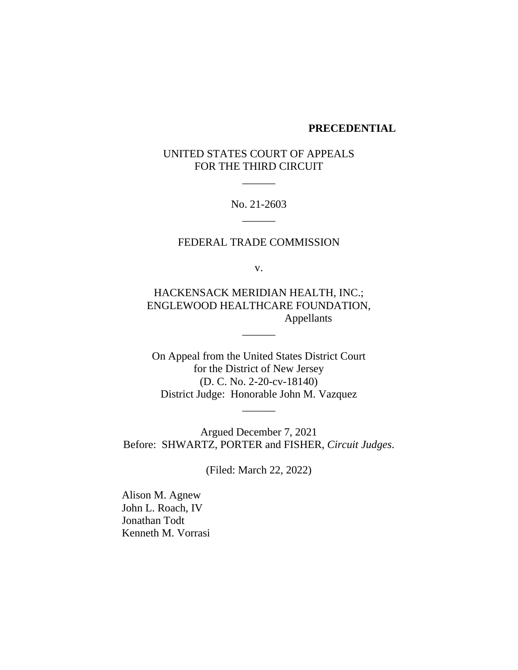#### **PRECEDENTIAL**

# UNITED STATES COURT OF APPEALS FOR THE THIRD CIRCUIT

 $\overline{\phantom{a}}$ 

No. 21-2603  $\overline{\phantom{a}}$ 

## FEDERAL TRADE COMMISSION

v.

HACKENSACK MERIDIAN HEALTH, INC.; ENGLEWOOD HEALTHCARE FOUNDATION, Appellants

\_\_\_\_\_\_

On Appeal from the United States District Court for the District of New Jersey (D. C. No. 2-20-cv-18140) District Judge: Honorable John M. Vazquez

 $\overline{\phantom{a}}$ 

Argued December 7, 2021 Before: SHWARTZ, PORTER and FISHER, *Circuit Judges*.

(Filed: March 22, 2022)

Alison M. Agnew John L. Roach, IV Jonathan Todt Kenneth M. Vorrasi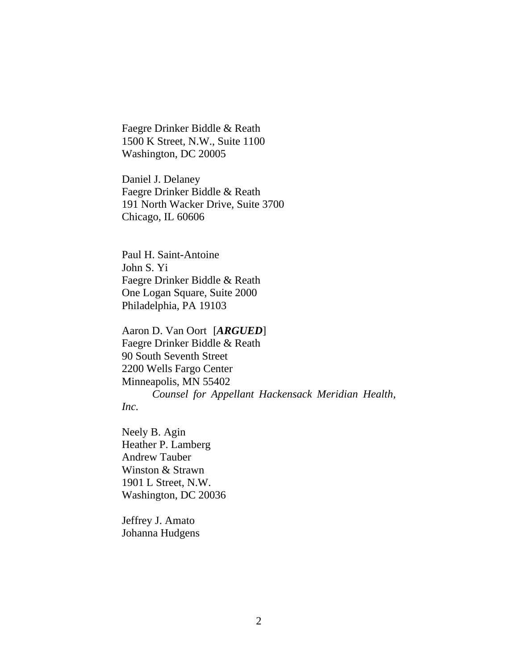Faegre Drinker Biddle & Reath 1500 K Street, N.W., Suite 1100 Washington, DC 20005

Daniel J. Delaney Faegre Drinker Biddle & Reath 191 North Wacker Drive, Suite 3700 Chicago, IL 60606

Paul H. Saint-Antoine John S. Yi Faegre Drinker Biddle & Reath One Logan Square, Suite 2000 Philadelphia, PA 19103

Aaron D. Van Oort [*ARGUED*] Faegre Drinker Biddle & Reath 90 South Seventh Street 2200 Wells Fargo Center Minneapolis, MN 55402 *Counsel for Appellant Hackensack Meridian Health,*

*Inc.*

Neely B. Agin Heather P. Lamberg Andrew Tauber Winston & Strawn 1901 L Street, N.W. Washington, DC 20036

Jeffrey J. Amato Johanna Hudgens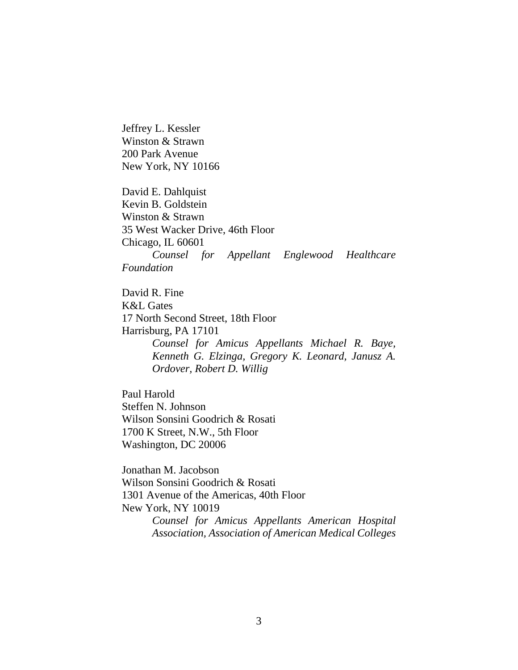Jeffrey L. Kessler Winston & Strawn 200 Park Avenue New York, NY 10166

David E. Dahlquist Kevin B. Goldstein Winston & Strawn 35 West Wacker Drive, 46th Floor Chicago, IL 60601 *Counsel for Appellant Englewood Healthcare Foundation*

David R. Fine K&L Gates 17 North Second Street, 18th Floor Harrisburg, PA 17101 *Counsel for Amicus Appellants Michael R. Baye, Kenneth G. Elzinga, Gregory K. Leonard, Janusz A. Ordover, Robert D. Willig* 

Paul Harold Steffen N. Johnson Wilson Sonsini Goodrich & Rosati 1700 K Street, N.W., 5th Floor Washington, DC 20006

Jonathan M. Jacobson Wilson Sonsini Goodrich & Rosati 1301 Avenue of the Americas, 40th Floor New York, NY 10019 *Counsel for Amicus Appellants American Hospital* 

*Association, Association of American Medical Colleges*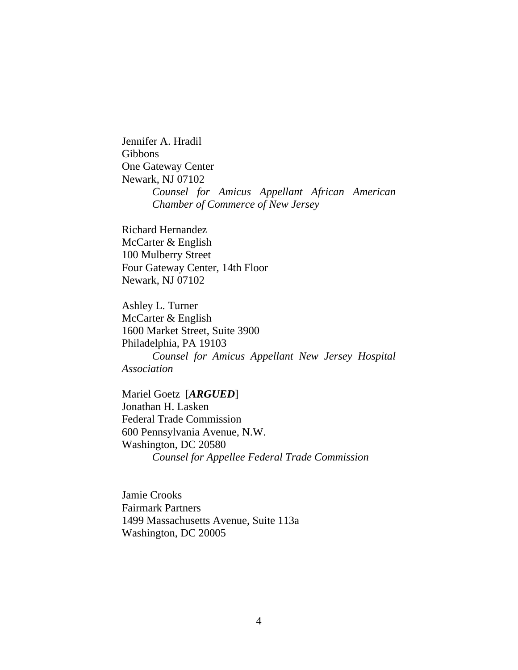Jennifer A. Hradil Gibbons One Gateway Center Newark, NJ 07102 *Counsel for Amicus Appellant African American Chamber of Commerce of New Jersey*

Richard Hernandez McCarter & English 100 Mulberry Street Four Gateway Center, 14th Floor Newark, NJ 07102

Ashley L. Turner McCarter & English 1600 Market Street, Suite 3900 Philadelphia, PA 19103 *Counsel for Amicus Appellant New Jersey Hospital Association*

Mariel Goetz [*ARGUED*] Jonathan H. Lasken Federal Trade Commission 600 Pennsylvania Avenue, N.W. Washington, DC 20580 *Counsel for Appellee Federal Trade Commission*

Jamie Crooks Fairmark Partners 1499 Massachusetts Avenue, Suite 113a Washington, DC 20005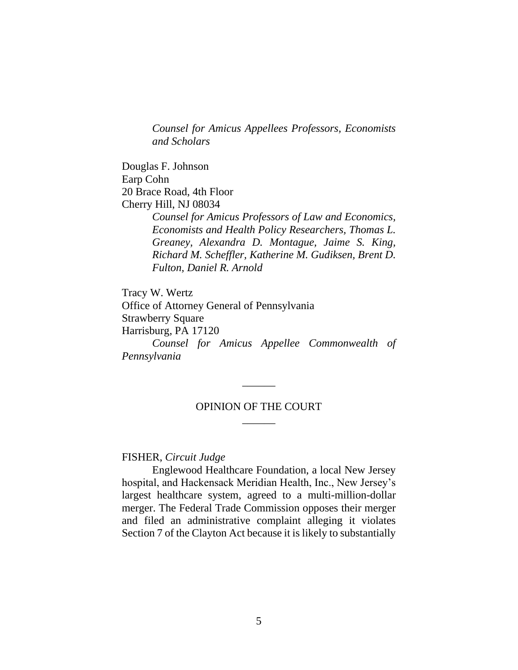*Counsel for Amicus Appellees Professors, Economists and Scholars* 

Douglas F. Johnson Earp Cohn 20 Brace Road, 4th Floor Cherry Hill, NJ 08034

> *Counsel for Amicus Professors of Law and Economics, Economists and Health Policy Researchers, Thomas L. Greaney, Alexandra D. Montague, Jaime S. King, Richard M. Scheffler, Katherine M. Gudiksen, Brent D. Fulton, Daniel R. Arnold*

Tracy W. Wertz Office of Attorney General of Pennsylvania Strawberry Square Harrisburg, PA 17120 *Counsel for Amicus Appellee Commonwealth of Pennsylvania*

## OPINION OF THE COURT  $\overline{\phantom{a}}$

 $\overline{\phantom{a}}$ 

## FISHER, *Circuit Judge*

Englewood Healthcare Foundation, a local New Jersey hospital, and Hackensack Meridian Health, Inc., New Jersey's largest healthcare system, agreed to a multi-million-dollar merger. The Federal Trade Commission opposes their merger and filed an administrative complaint alleging it violates Section 7 of the Clayton Act because it is likely to substantially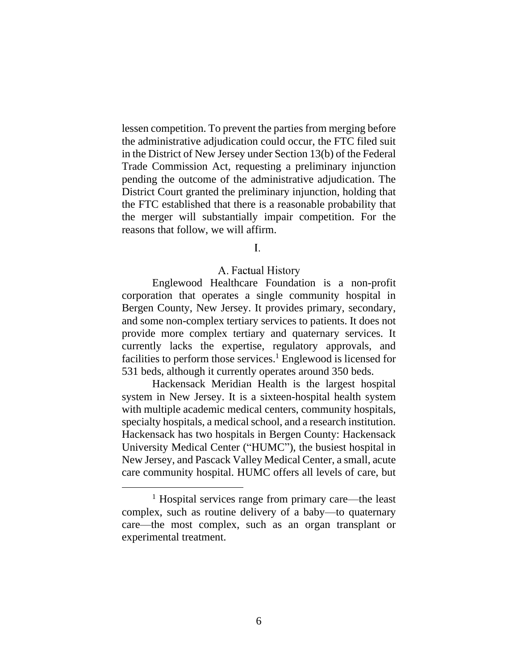lessen competition. To prevent the parties from merging before the administrative adjudication could occur, the FTC filed suit in the District of New Jersey under Section 13(b) of the Federal Trade Commission Act, requesting a preliminary injunction pending the outcome of the administrative adjudication. The District Court granted the preliminary injunction, holding that the FTC established that there is a reasonable probability that the merger will substantially impair competition. For the reasons that follow, we will affirm.

## $\mathbf{L}$

#### A. Factual History

Englewood Healthcare Foundation is a non-profit corporation that operates a single community hospital in Bergen County, New Jersey. It provides primary, secondary, and some non-complex tertiary services to patients. It does not provide more complex tertiary and quaternary services. It currently lacks the expertise, regulatory approvals, and facilities to perform those services.<sup>1</sup> Englewood is licensed for 531 beds, although it currently operates around 350 beds.

Hackensack Meridian Health is the largest hospital system in New Jersey. It is a sixteen-hospital health system with multiple academic medical centers, community hospitals, specialty hospitals, a medical school, and a research institution. Hackensack has two hospitals in Bergen County: Hackensack University Medical Center ("HUMC"), the busiest hospital in New Jersey, and Pascack Valley Medical Center, a small, acute care community hospital. HUMC offers all levels of care, but

<sup>1</sup> Hospital services range from primary care—the least complex, such as routine delivery of a baby—to quaternary care—the most complex, such as an organ transplant or experimental treatment.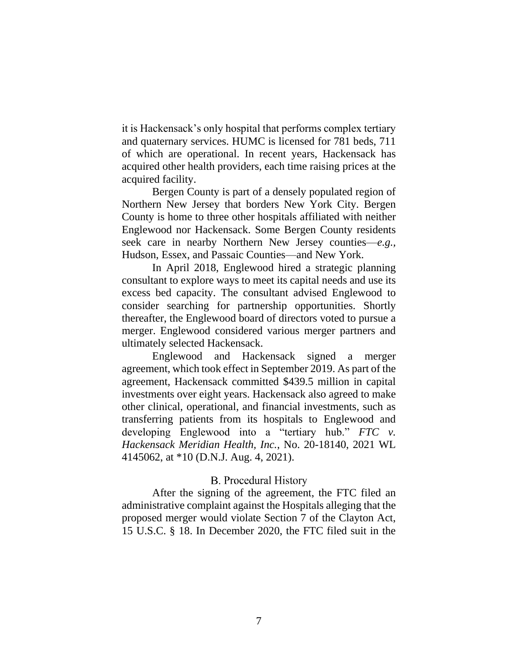it is Hackensack's only hospital that performs complex tertiary and quaternary services. HUMC is licensed for 781 beds, 711 of which are operational. In recent years, Hackensack has acquired other health providers, each time raising prices at the acquired facility.

Bergen County is part of a densely populated region of Northern New Jersey that borders New York City. Bergen County is home to three other hospitals affiliated with neither Englewood nor Hackensack. Some Bergen County residents seek care in nearby Northern New Jersey counties—*e.g.,* Hudson, Essex, and Passaic Counties—and New York.

In April 2018, Englewood hired a strategic planning consultant to explore ways to meet its capital needs and use its excess bed capacity. The consultant advised Englewood to consider searching for partnership opportunities. Shortly thereafter, the Englewood board of directors voted to pursue a merger. Englewood considered various merger partners and ultimately selected Hackensack.

Englewood and Hackensack signed a merger agreement, which took effect in September 2019. As part of the agreement, Hackensack committed \$439.5 million in capital investments over eight years. Hackensack also agreed to make other clinical, operational, and financial investments, such as transferring patients from its hospitals to Englewood and developing Englewood into a "tertiary hub." *FTC v. Hackensack Meridian Health, Inc.*, No. 20-18140, 2021 WL 4145062, at \*10 (D.N.J. Aug. 4, 2021).

## **B.** Procedural History

After the signing of the agreement, the FTC filed an administrative complaint against the Hospitals alleging that the proposed merger would violate Section 7 of the Clayton Act, 15 U.S.C. § 18. In December 2020, the FTC filed suit in the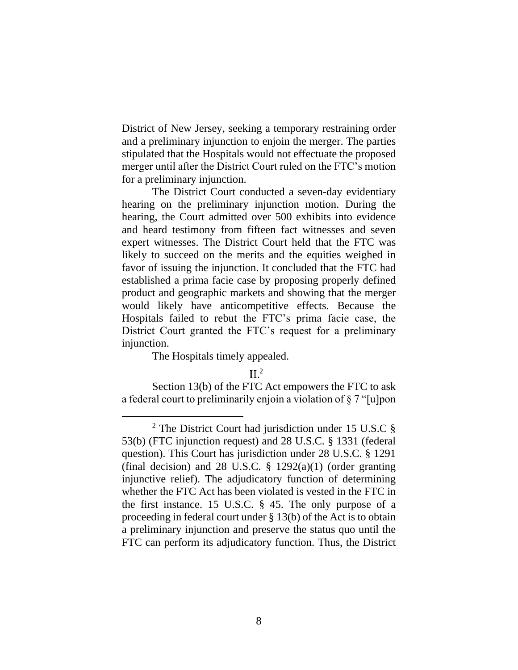District of New Jersey, seeking a temporary restraining order and a preliminary injunction to enjoin the merger. The parties stipulated that the Hospitals would not effectuate the proposed merger until after the District Court ruled on the FTC's motion for a preliminary injunction.

The District Court conducted a seven-day evidentiary hearing on the preliminary injunction motion. During the hearing, the Court admitted over 500 exhibits into evidence and heard testimony from fifteen fact witnesses and seven expert witnesses. The District Court held that the FTC was likely to succeed on the merits and the equities weighed in favor of issuing the injunction. It concluded that the FTC had established a prima facie case by proposing properly defined product and geographic markets and showing that the merger would likely have anticompetitive effects. Because the Hospitals failed to rebut the FTC's prima facie case, the District Court granted the FTC's request for a preliminary injunction.

The Hospitals timely appealed.

 $II<sup>2</sup>$ 

Section 13(b) of the FTC Act empowers the FTC to ask a federal court to preliminarily enjoin a violation of § 7 "[u]pon

<sup>2</sup> The District Court had jurisdiction under 15 U.S.C § 53(b) (FTC injunction request) and 28 U.S.C. § 1331 (federal question). This Court has jurisdiction under 28 U.S.C. § 1291 (final decision) and 28 U.S.C.  $\S$  1292(a)(1) (order granting injunctive relief). The adjudicatory function of determining whether the FTC Act has been violated is vested in the FTC in the first instance. 15 U.S.C. § 45. The only purpose of a proceeding in federal court under § 13(b) of the Act is to obtain a preliminary injunction and preserve the status quo until the FTC can perform its adjudicatory function. Thus, the District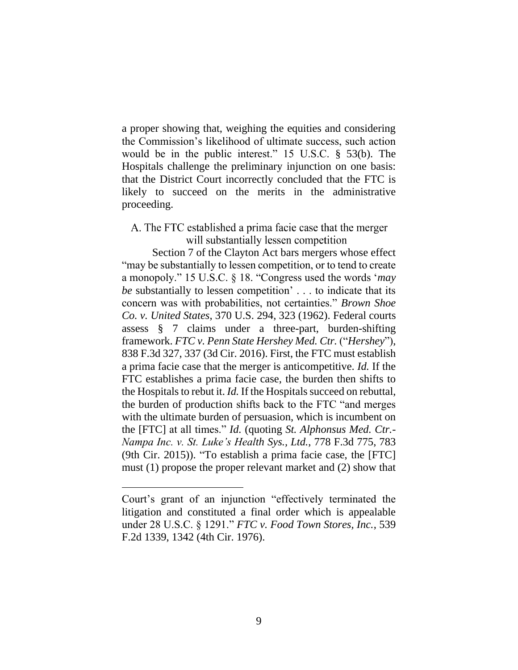a proper showing that, weighing the equities and considering the Commission's likelihood of ultimate success, such action would be in the public interest." 15 U.S.C. § 53(b). The Hospitals challenge the preliminary injunction on one basis: that the District Court incorrectly concluded that the FTC is likely to succeed on the merits in the administrative proceeding.

# A. The FTC established a prima facie case that the merger will substantially lessen competition

Section 7 of the Clayton Act bars mergers whose effect "may be substantially to lessen competition, or to tend to create a monopoly." 15 U.S.C. § 18. "Congress used the words '*may be* substantially to lessen competition' . . . to indicate that its concern was with probabilities, not certainties." *Brown Shoe Co. v. United States*, 370 U.S. 294, 323 (1962). Federal courts assess § 7 claims under a three-part, burden-shifting framework. *FTC v. Penn State Hershey Med. Ctr.* ("*Hershey*"), 838 F.3d 327, 337 (3d Cir. 2016). First, the FTC must establish a prima facie case that the merger is anticompetitive. *Id.* If the FTC establishes a prima facie case, the burden then shifts to the Hospitals to rebut it. *Id.* If the Hospitals succeed on rebuttal, the burden of production shifts back to the FTC "and merges with the ultimate burden of persuasion, which is incumbent on the [FTC] at all times." *Id.* (quoting *St. Alphonsus Med. Ctr.- Nampa Inc. v. St. Luke's Health Sys., Ltd.*, 778 F.3d 775, 783 (9th Cir. 2015)). "To establish a prima facie case, the [FTC] must (1) propose the proper relevant market and (2) show that

Court's grant of an injunction "effectively terminated the litigation and constituted a final order which is appealable under 28 U.S.C. § 1291." *FTC v. Food Town Stores, Inc.*, 539 F.2d 1339, 1342 (4th Cir. 1976).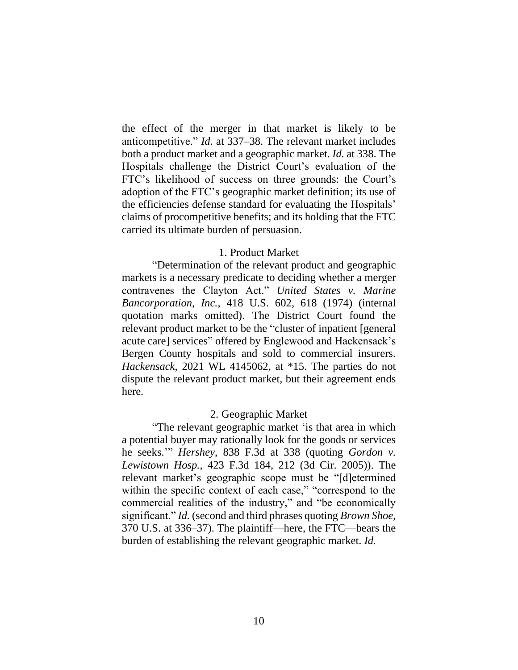the effect of the merger in that market is likely to be anticompetitive." *Id.* at 337–38. The relevant market includes both a product market and a geographic market. *Id.* at 338. The Hospitals challenge the District Court's evaluation of the FTC's likelihood of success on three grounds: the Court's adoption of the FTC's geographic market definition; its use of the efficiencies defense standard for evaluating the Hospitals' claims of procompetitive benefits; and its holding that the FTC carried its ultimate burden of persuasion.

## 1. Product Market

"Determination of the relevant product and geographic markets is a necessary predicate to deciding whether a merger contravenes the Clayton Act." *United States v. Marine Bancorporation, Inc.*, 418 U.S. 602, 618 (1974) (internal quotation marks omitted). The District Court found the relevant product market to be the "cluster of inpatient [general acute care] services" offered by Englewood and Hackensack's Bergen County hospitals and sold to commercial insurers. *Hackensack*, 2021 WL 4145062, at \*15. The parties do not dispute the relevant product market, but their agreement ends here.

#### 2. Geographic Market

"The relevant geographic market 'is that area in which a potential buyer may rationally look for the goods or services he seeks.'" *Hershey*, 838 F.3d at 338 (quoting *Gordon v. Lewistown Hosp.*, 423 F.3d 184, 212 (3d Cir. 2005)). The relevant market's geographic scope must be "[d]etermined within the specific context of each case," "correspond to the commercial realities of the industry," and "be economically significant." *Id.* (second and third phrases quoting *Brown Shoe*, 370 U.S. at 336–37). The plaintiff—here, the FTC—bears the burden of establishing the relevant geographic market. *Id.*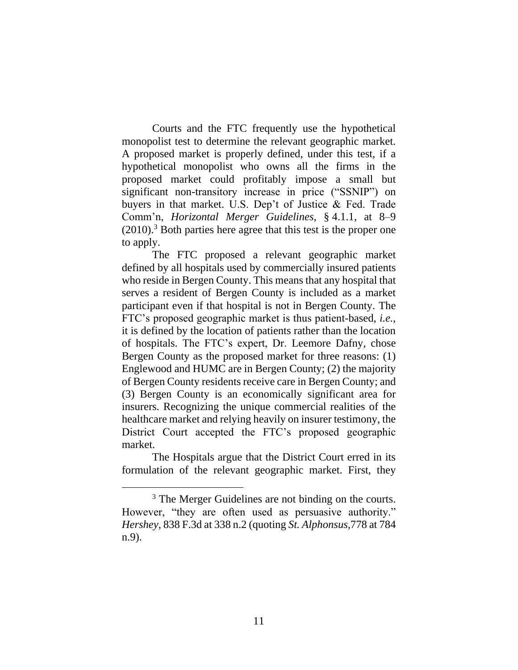Courts and the FTC frequently use the hypothetical monopolist test to determine the relevant geographic market. A proposed market is properly defined, under this test, if a hypothetical monopolist who owns all the firms in the proposed market could profitably impose a small but significant non-transitory increase in price ("SSNIP") on buyers in that market. U.S. Dep't of Justice & Fed. Trade Comm'n, *Horizontal Merger Guidelines*, § 4.1.1, at 8–9 (2010). <sup>3</sup> Both parties here agree that this test is the proper one to apply.

The FTC proposed a relevant geographic market defined by all hospitals used by commercially insured patients who reside in Bergen County. This means that any hospital that serves a resident of Bergen County is included as a market participant even if that hospital is not in Bergen County. The FTC's proposed geographic market is thus patient-based, *i.e.*, it is defined by the location of patients rather than the location of hospitals. The FTC's expert, Dr. Leemore Dafny, chose Bergen County as the proposed market for three reasons: (1) Englewood and HUMC are in Bergen County; (2) the majority of Bergen County residents receive care in Bergen County; and (3) Bergen County is an economically significant area for insurers. Recognizing the unique commercial realities of the healthcare market and relying heavily on insurer testimony, the District Court accepted the FTC's proposed geographic market.

The Hospitals argue that the District Court erred in its formulation of the relevant geographic market. First, they

<sup>&</sup>lt;sup>3</sup> The Merger Guidelines are not binding on the courts. However, "they are often used as persuasive authority." *Hershey*, 838 F.3d at 338 n.2 (quoting *St. Alphonsus,*778 at 784 n.9).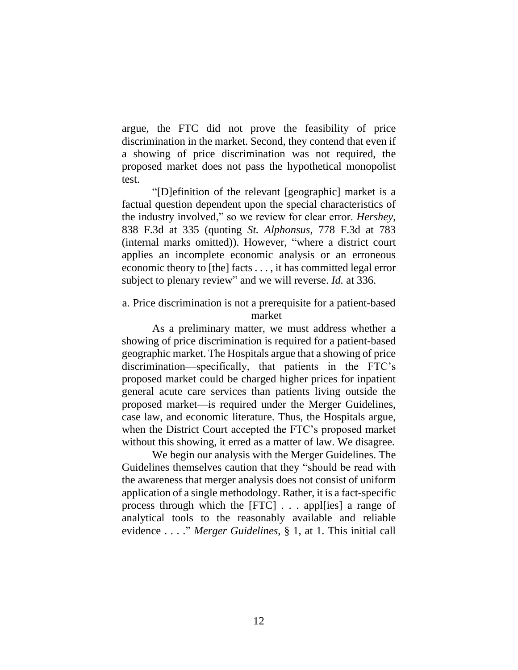argue, the FTC did not prove the feasibility of price discrimination in the market. Second, they contend that even if a showing of price discrimination was not required, the proposed market does not pass the hypothetical monopolist test.

"[D]efinition of the relevant [geographic] market is a factual question dependent upon the special characteristics of the industry involved," so we review for clear error. *Hershey*, 838 F.3d at 335 (quoting *St. Alphonsus*, 778 F.3d at 783 (internal marks omitted)). However, "where a district court applies an incomplete economic analysis or an erroneous economic theory to [the] facts . . . , it has committed legal error subject to plenary review" and we will reverse. *Id.* at 336.

# a. Price discrimination is not a prerequisite for a patient-based market

As a preliminary matter, we must address whether a showing of price discrimination is required for a patient-based geographic market. The Hospitals argue that a showing of price discrimination—specifically, that patients in the FTC's proposed market could be charged higher prices for inpatient general acute care services than patients living outside the proposed market—is required under the Merger Guidelines, case law, and economic literature. Thus, the Hospitals argue, when the District Court accepted the FTC's proposed market without this showing, it erred as a matter of law. We disagree.

We begin our analysis with the Merger Guidelines. The Guidelines themselves caution that they "should be read with the awareness that merger analysis does not consist of uniform application of a single methodology. Rather, it is a fact-specific process through which the [FTC] . . . appl[ies] a range of analytical tools to the reasonably available and reliable evidence . . . ." *Merger Guidelines*, § 1, at 1. This initial call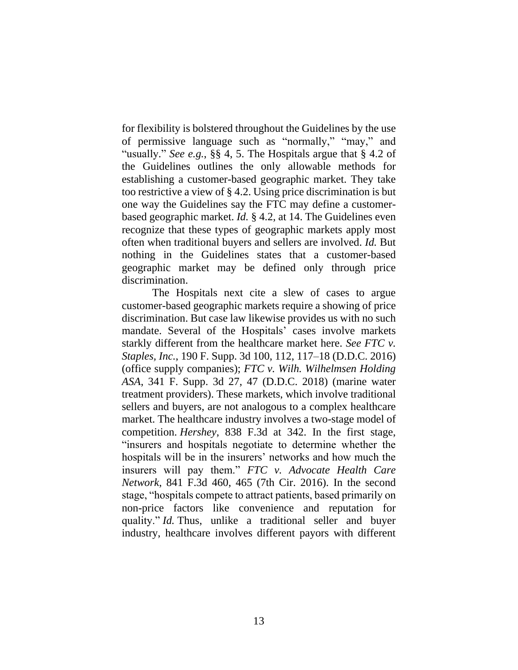for flexibility is bolstered throughout the Guidelines by the use of permissive language such as "normally," "may," and "usually." *See e.g.*, §§ 4, 5. The Hospitals argue that § 4.2 of the Guidelines outlines the only allowable methods for establishing a customer-based geographic market. They take too restrictive a view of § 4.2. Using price discrimination is but one way the Guidelines say the FTC may define a customerbased geographic market. *Id.* § 4.2, at 14. The Guidelines even recognize that these types of geographic markets apply most often when traditional buyers and sellers are involved. *Id.* But nothing in the Guidelines states that a customer-based geographic market may be defined only through price discrimination.

The Hospitals next cite a slew of cases to argue customer-based geographic markets require a showing of price discrimination. But case law likewise provides us with no such mandate. Several of the Hospitals' cases involve markets starkly different from the healthcare market here. *See FTC v. Staples, Inc.*, 190 F. Supp. 3d 100, 112, 117–18 (D.D.C. 2016) (office supply companies); *FTC v. Wilh. Wilhelmsen Holding ASA*, 341 F. Supp. 3d 27, 47 (D.D.C. 2018) (marine water treatment providers). These markets, which involve traditional sellers and buyers, are not analogous to a complex healthcare market. The healthcare industry involves a two-stage model of competition. *Hershey*, 838 F.3d at 342. In the first stage, "insurers and hospitals negotiate to determine whether the hospitals will be in the insurers' networks and how much the insurers will pay them." *FTC v. Advocate Health Care Network*, 841 F.3d 460, 465 (7th Cir. 2016). In the second stage, "hospitals compete to attract patients, based primarily on non-price factors like convenience and reputation for quality." *Id.* Thus, unlike a traditional seller and buyer industry, healthcare involves different payors with different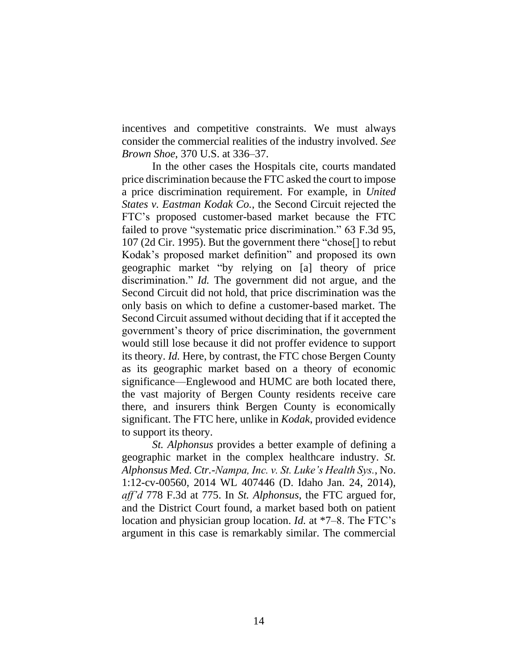incentives and competitive constraints. We must always consider the commercial realities of the industry involved. *See Brown Shoe*, 370 U.S. at 336–37.

In the other cases the Hospitals cite, courts mandated price discrimination because the FTC asked the court to impose a price discrimination requirement. For example, in *United States v. Eastman Kodak Co.*, the Second Circuit rejected the FTC's proposed customer-based market because the FTC failed to prove "systematic price discrimination." 63 F.3d 95, 107 (2d Cir. 1995). But the government there "chose[] to rebut Kodak's proposed market definition" and proposed its own geographic market "by relying on [a] theory of price discrimination." *Id.* The government did not argue, and the Second Circuit did not hold, that price discrimination was the only basis on which to define a customer-based market. The Second Circuit assumed without deciding that if it accepted the government's theory of price discrimination, the government would still lose because it did not proffer evidence to support its theory. *Id.* Here, by contrast, the FTC chose Bergen County as its geographic market based on a theory of economic significance—Englewood and HUMC are both located there, the vast majority of Bergen County residents receive care there, and insurers think Bergen County is economically significant. The FTC here, unlike in *Kodak*, provided evidence to support its theory.

*St. Alphonsus* provides a better example of defining a geographic market in the complex healthcare industry. *St. Alphonsus Med. Ctr.-Nampa, Inc. v. St. Luke's Health Sys.*, No. 1:12-cv-00560, 2014 WL 407446 (D. Idaho Jan. 24, 2014), *aff'd* 778 F.3d at 775. In *St. Alphonsus*, the FTC argued for, and the District Court found, a market based both on patient location and physician group location. *Id.* at \*7–8. The FTC's argument in this case is remarkably similar. The commercial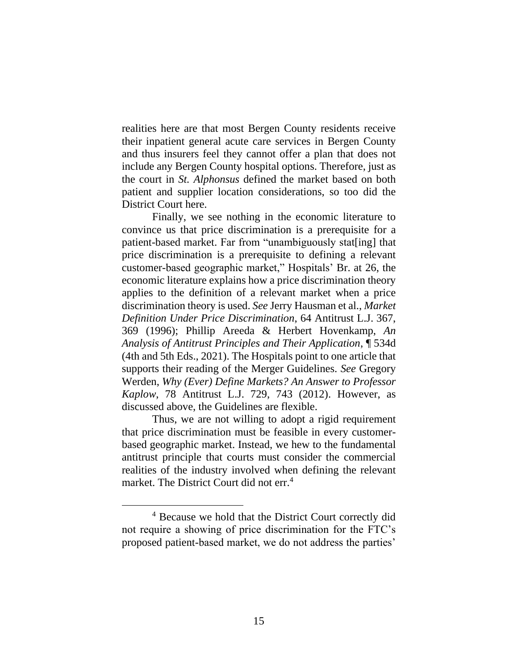realities here are that most Bergen County residents receive their inpatient general acute care services in Bergen County and thus insurers feel they cannot offer a plan that does not include any Bergen County hospital options. Therefore, just as the court in *St. Alphonsus* defined the market based on both patient and supplier location considerations, so too did the District Court here.

Finally, we see nothing in the economic literature to convince us that price discrimination is a prerequisite for a patient-based market. Far from "unambiguously stat[ing] that price discrimination is a prerequisite to defining a relevant customer-based geographic market," Hospitals' Br. at 26, the economic literature explains how a price discrimination theory applies to the definition of a relevant market when a price discrimination theory is used. *See* Jerry Hausman et al., *Market Definition Under Price Discrimination*, 64 Antitrust L.J. 367, 369 (1996); Phillip Areeda & Herbert Hovenkamp, *An Analysis of Antitrust Principles and Their Application*, ¶ 534d (4th and 5th Eds., 2021). The Hospitals point to one article that supports their reading of the Merger Guidelines. *See* Gregory Werden, *Why (Ever) Define Markets? An Answer to Professor Kaplow*, 78 Antitrust L.J. 729, 743 (2012). However, as discussed above, the Guidelines are flexible.

Thus, we are not willing to adopt a rigid requirement that price discrimination must be feasible in every customerbased geographic market. Instead, we hew to the fundamental antitrust principle that courts must consider the commercial realities of the industry involved when defining the relevant market. The District Court did not err.<sup>4</sup>

<sup>4</sup> Because we hold that the District Court correctly did not require a showing of price discrimination for the FTC's proposed patient-based market, we do not address the parties'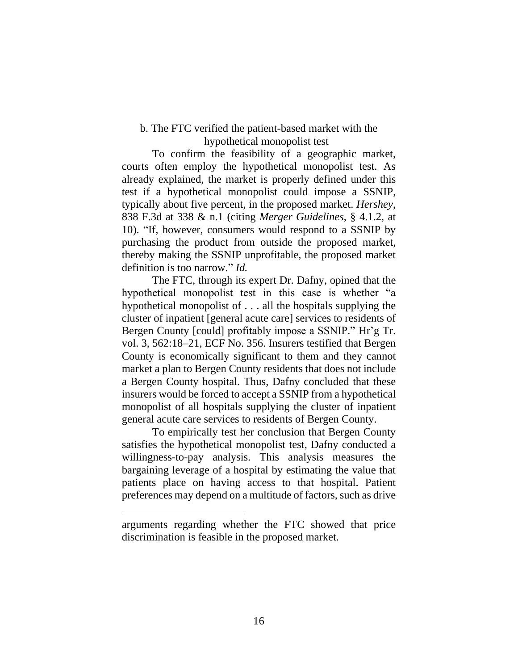# b. The FTC verified the patient-based market with the hypothetical monopolist test

To confirm the feasibility of a geographic market, courts often employ the hypothetical monopolist test. As already explained, the market is properly defined under this test if a hypothetical monopolist could impose a SSNIP, typically about five percent, in the proposed market. *Hershey*, 838 F.3d at 338 & n.1 (citing *Merger Guidelines*, § 4.1.2, at 10). "If, however, consumers would respond to a SSNIP by purchasing the product from outside the proposed market, thereby making the SSNIP unprofitable, the proposed market definition is too narrow." *Id.*

The FTC, through its expert Dr. Dafny, opined that the hypothetical monopolist test in this case is whether "a hypothetical monopolist of . . . all the hospitals supplying the cluster of inpatient [general acute care] services to residents of Bergen County [could] profitably impose a SSNIP." Hr'g Tr. vol. 3, 562:18–21, ECF No. 356. Insurers testified that Bergen County is economically significant to them and they cannot market a plan to Bergen County residents that does not include a Bergen County hospital. Thus, Dafny concluded that these insurers would be forced to accept a SSNIP from a hypothetical monopolist of all hospitals supplying the cluster of inpatient general acute care services to residents of Bergen County.

To empirically test her conclusion that Bergen County satisfies the hypothetical monopolist test, Dafny conducted a willingness-to-pay analysis. This analysis measures the bargaining leverage of a hospital by estimating the value that patients place on having access to that hospital. Patient preferences may depend on a multitude of factors, such as drive

arguments regarding whether the FTC showed that price discrimination is feasible in the proposed market.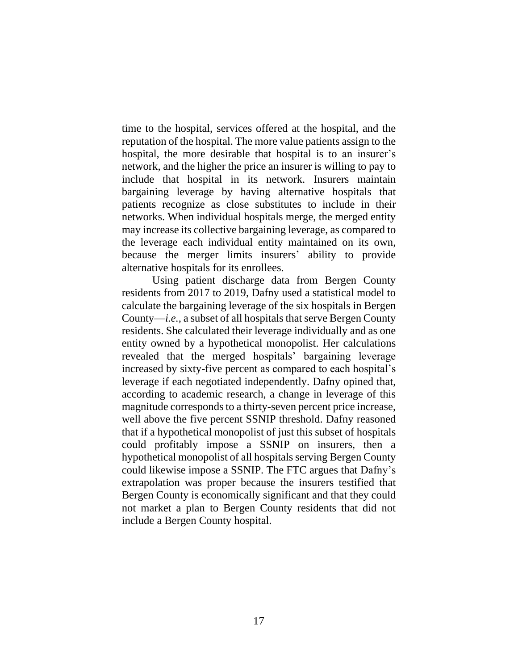time to the hospital, services offered at the hospital, and the reputation of the hospital. The more value patients assign to the hospital, the more desirable that hospital is to an insurer's network, and the higher the price an insurer is willing to pay to include that hospital in its network. Insurers maintain bargaining leverage by having alternative hospitals that patients recognize as close substitutes to include in their networks. When individual hospitals merge, the merged entity may increase its collective bargaining leverage, as compared to the leverage each individual entity maintained on its own, because the merger limits insurers' ability to provide alternative hospitals for its enrollees.

Using patient discharge data from Bergen County residents from 2017 to 2019, Dafny used a statistical model to calculate the bargaining leverage of the six hospitals in Bergen County—*i.e.,* a subset of all hospitals that serve Bergen County residents. She calculated their leverage individually and as one entity owned by a hypothetical monopolist. Her calculations revealed that the merged hospitals' bargaining leverage increased by sixty-five percent as compared to each hospital's leverage if each negotiated independently. Dafny opined that, according to academic research, a change in leverage of this magnitude corresponds to a thirty-seven percent price increase, well above the five percent SSNIP threshold. Dafny reasoned that if a hypothetical monopolist of just this subset of hospitals could profitably impose a SSNIP on insurers, then a hypothetical monopolist of all hospitals serving Bergen County could likewise impose a SSNIP. The FTC argues that Dafny's extrapolation was proper because the insurers testified that Bergen County is economically significant and that they could not market a plan to Bergen County residents that did not include a Bergen County hospital.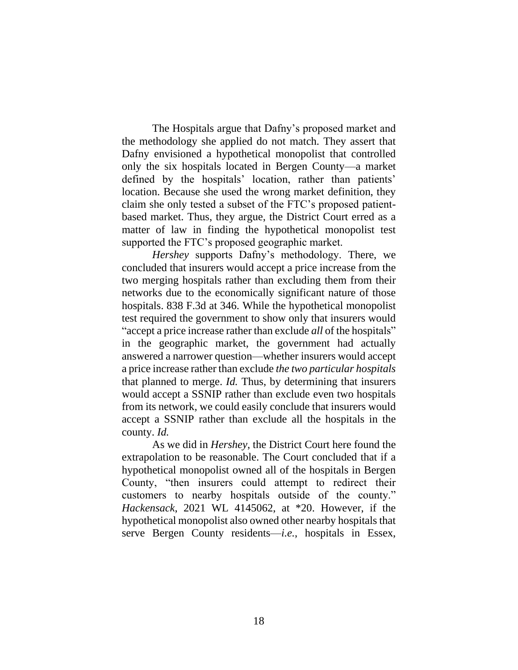The Hospitals argue that Dafny's proposed market and the methodology she applied do not match. They assert that Dafny envisioned a hypothetical monopolist that controlled only the six hospitals located in Bergen County—a market defined by the hospitals' location, rather than patients' location. Because she used the wrong market definition, they claim she only tested a subset of the FTC's proposed patientbased market. Thus, they argue, the District Court erred as a matter of law in finding the hypothetical monopolist test supported the FTC's proposed geographic market.

*Hershey* supports Dafny's methodology. There, we concluded that insurers would accept a price increase from the two merging hospitals rather than excluding them from their networks due to the economically significant nature of those hospitals. 838 F.3d at 346. While the hypothetical monopolist test required the government to show only that insurers would "accept a price increase rather than exclude *all* of the hospitals" in the geographic market, the government had actually answered a narrower question—whether insurers would accept a price increase rather than exclude *the two particular hospitals*  that planned to merge. *Id.* Thus, by determining that insurers would accept a SSNIP rather than exclude even two hospitals from its network, we could easily conclude that insurers would accept a SSNIP rather than exclude all the hospitals in the county. *Id.*

As we did in *Hershey*, the District Court here found the extrapolation to be reasonable. The Court concluded that if a hypothetical monopolist owned all of the hospitals in Bergen County, "then insurers could attempt to redirect their customers to nearby hospitals outside of the county." *Hackensack*, 2021 WL 4145062, at \*20. However, if the hypothetical monopolist also owned other nearby hospitals that serve Bergen County residents—*i.e.*, hospitals in Essex,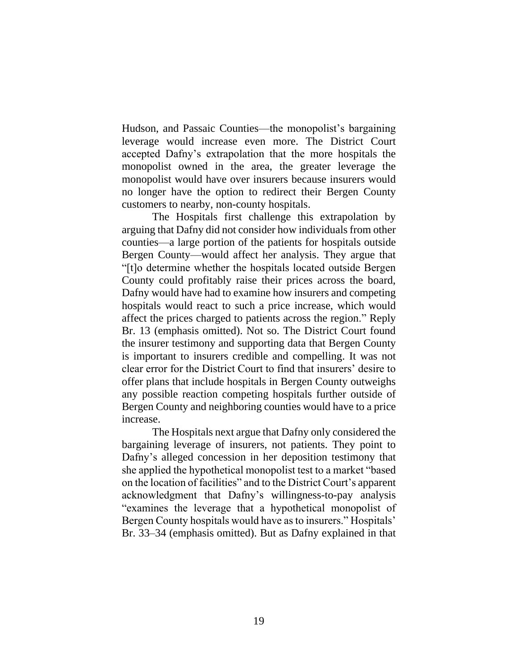Hudson, and Passaic Counties—the monopolist's bargaining leverage would increase even more. The District Court accepted Dafny's extrapolation that the more hospitals the monopolist owned in the area, the greater leverage the monopolist would have over insurers because insurers would no longer have the option to redirect their Bergen County customers to nearby, non-county hospitals.

The Hospitals first challenge this extrapolation by arguing that Dafny did not consider how individuals from other counties—a large portion of the patients for hospitals outside Bergen County—would affect her analysis. They argue that "[t]o determine whether the hospitals located outside Bergen County could profitably raise their prices across the board, Dafny would have had to examine how insurers and competing hospitals would react to such a price increase, which would affect the prices charged to patients across the region." Reply Br. 13 (emphasis omitted). Not so. The District Court found the insurer testimony and supporting data that Bergen County is important to insurers credible and compelling. It was not clear error for the District Court to find that insurers' desire to offer plans that include hospitals in Bergen County outweighs any possible reaction competing hospitals further outside of Bergen County and neighboring counties would have to a price increase.

The Hospitals next argue that Dafny only considered the bargaining leverage of insurers, not patients. They point to Dafny's alleged concession in her deposition testimony that she applied the hypothetical monopolist test to a market "based on the location of facilities" and to the District Court's apparent acknowledgment that Dafny's willingness-to-pay analysis "examines the leverage that a hypothetical monopolist of Bergen County hospitals would have as to insurers." Hospitals' Br. 33–34 (emphasis omitted). But as Dafny explained in that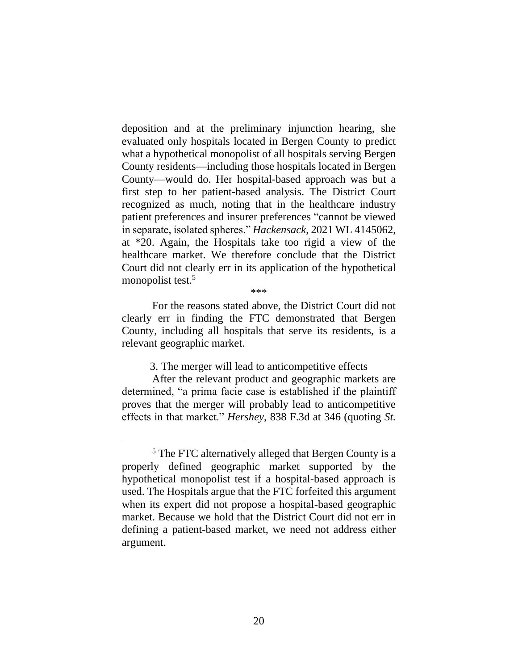deposition and at the preliminary injunction hearing, she evaluated only hospitals located in Bergen County to predict what a hypothetical monopolist of all hospitals serving Bergen County residents—including those hospitals located in Bergen County—would do. Her hospital-based approach was but a first step to her patient-based analysis. The District Court recognized as much, noting that in the healthcare industry patient preferences and insurer preferences "cannot be viewed in separate, isolated spheres." *Hackensack*, 2021 WL 4145062, at \*20. Again, the Hospitals take too rigid a view of the healthcare market. We therefore conclude that the District Court did not clearly err in its application of the hypothetical monopolist test.<sup>5</sup>

\*\*\*

For the reasons stated above, the District Court did not clearly err in finding the FTC demonstrated that Bergen County, including all hospitals that serve its residents, is a relevant geographic market.

3. The merger will lead to anticompetitive effects

After the relevant product and geographic markets are determined, "a prima facie case is established if the plaintiff proves that the merger will probably lead to anticompetitive effects in that market." *Hershey*, 838 F.3d at 346 (quoting *St.* 

<sup>&</sup>lt;sup>5</sup> The FTC alternatively alleged that Bergen County is a properly defined geographic market supported by the hypothetical monopolist test if a hospital-based approach is used. The Hospitals argue that the FTC forfeited this argument when its expert did not propose a hospital-based geographic market. Because we hold that the District Court did not err in defining a patient-based market, we need not address either argument.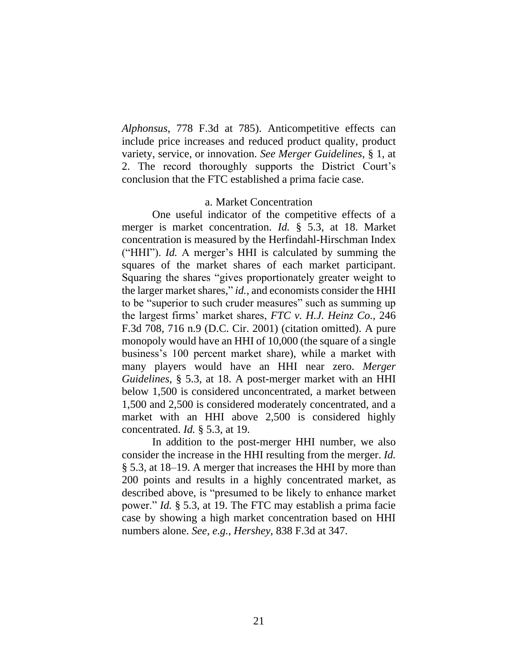*Alphonsus*, 778 F.3d at 785). Anticompetitive effects can include price increases and reduced product quality, product variety, service, or innovation. *See Merger Guidelines*, § 1, at 2. The record thoroughly supports the District Court's conclusion that the FTC established a prima facie case.

#### a. Market Concentration

One useful indicator of the competitive effects of a merger is market concentration. *Id.* § 5.3, at 18. Market concentration is measured by the Herfindahl-Hirschman Index ("HHI"). *Id.* A merger's HHI is calculated by summing the squares of the market shares of each market participant. Squaring the shares "gives proportionately greater weight to the larger market shares," *id.*, and economists consider the HHI to be "superior to such cruder measures" such as summing up the largest firms' market shares, *FTC v. H.J. Heinz Co.*, 246 F.3d 708, 716 n.9 (D.C. Cir. 2001) (citation omitted). A pure monopoly would have an HHI of 10,000 (the square of a single business's 100 percent market share), while a market with many players would have an HHI near zero. *Merger Guidelines*, § 5.3, at 18. A post-merger market with an HHI below 1,500 is considered unconcentrated, a market between 1,500 and 2,500 is considered moderately concentrated, and a market with an HHI above 2,500 is considered highly concentrated. *Id.* § 5.3, at 19.

In addition to the post-merger HHI number, we also consider the increase in the HHI resulting from the merger. *Id.* § 5.3, at 18–19. A merger that increases the HHI by more than 200 points and results in a highly concentrated market, as described above, is "presumed to be likely to enhance market power." *Id.* § 5.3, at 19. The FTC may establish a prima facie case by showing a high market concentration based on HHI numbers alone. *See, e.g.*, *Hershey*, 838 F.3d at 347.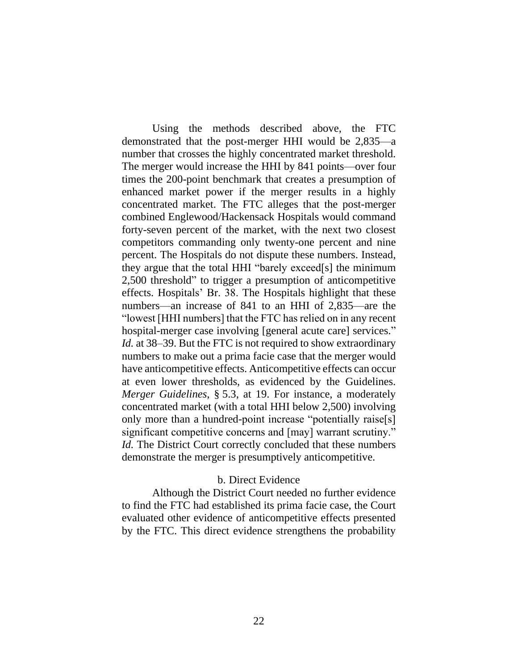Using the methods described above, the FTC demonstrated that the post-merger HHI would be 2,835—a number that crosses the highly concentrated market threshold. The merger would increase the HHI by 841 points—over four times the 200-point benchmark that creates a presumption of enhanced market power if the merger results in a highly concentrated market. The FTC alleges that the post-merger combined Englewood/Hackensack Hospitals would command forty-seven percent of the market, with the next two closest competitors commanding only twenty-one percent and nine percent. The Hospitals do not dispute these numbers. Instead, they argue that the total HHI "barely exceed[s] the minimum 2,500 threshold" to trigger a presumption of anticompetitive effects. Hospitals' Br. 38. The Hospitals highlight that these numbers—an increase of 841 to an HHI of 2,835—are the "lowest [HHI numbers] that the FTC has relied on in any recent hospital-merger case involving [general acute care] services." *Id.* at 38–39. But the FTC is not required to show extraordinary numbers to make out a prima facie case that the merger would have anticompetitive effects. Anticompetitive effects can occur at even lower thresholds, as evidenced by the Guidelines. *Merger Guidelines*, § 5.3, at 19. For instance, a moderately concentrated market (with a total HHI below 2,500) involving only more than a hundred-point increase "potentially raise[s] significant competitive concerns and [may] warrant scrutiny." *Id.* The District Court correctly concluded that these numbers demonstrate the merger is presumptively anticompetitive.

## b. Direct Evidence

Although the District Court needed no further evidence to find the FTC had established its prima facie case, the Court evaluated other evidence of anticompetitive effects presented by the FTC. This direct evidence strengthens the probability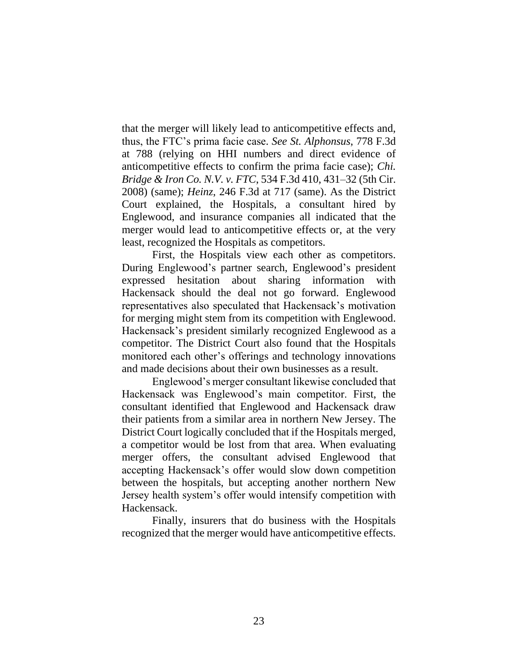that the merger will likely lead to anticompetitive effects and, thus, the FTC's prima facie case. *See St. Alphonsus*, 778 F.3d at 788 (relying on HHI numbers and direct evidence of anticompetitive effects to confirm the prima facie case); *Chi. Bridge & Iron Co. N.V. v. FTC*, 534 F.3d 410, 431–32 (5th Cir. 2008) (same); *Heinz*, 246 F.3d at 717 (same). As the District Court explained, the Hospitals, a consultant hired by Englewood, and insurance companies all indicated that the merger would lead to anticompetitive effects or, at the very least, recognized the Hospitals as competitors.

First, the Hospitals view each other as competitors. During Englewood's partner search, Englewood's president expressed hesitation about sharing information with Hackensack should the deal not go forward. Englewood representatives also speculated that Hackensack's motivation for merging might stem from its competition with Englewood. Hackensack's president similarly recognized Englewood as a competitor. The District Court also found that the Hospitals monitored each other's offerings and technology innovations and made decisions about their own businesses as a result.

Englewood's merger consultant likewise concluded that Hackensack was Englewood's main competitor. First, the consultant identified that Englewood and Hackensack draw their patients from a similar area in northern New Jersey. The District Court logically concluded that if the Hospitals merged, a competitor would be lost from that area. When evaluating merger offers, the consultant advised Englewood that accepting Hackensack's offer would slow down competition between the hospitals, but accepting another northern New Jersey health system's offer would intensify competition with Hackensack.

Finally, insurers that do business with the Hospitals recognized that the merger would have anticompetitive effects.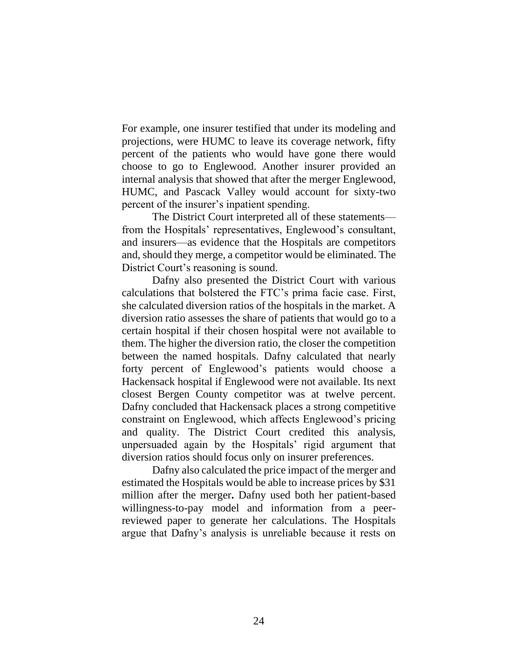For example, one insurer testified that under its modeling and projections, were HUMC to leave its coverage network, fifty percent of the patients who would have gone there would choose to go to Englewood. Another insurer provided an internal analysis that showed that after the merger Englewood, HUMC, and Pascack Valley would account for sixty-two percent of the insurer's inpatient spending.

The District Court interpreted all of these statements from the Hospitals' representatives, Englewood's consultant, and insurers—as evidence that the Hospitals are competitors and, should they merge, a competitor would be eliminated. The District Court's reasoning is sound.

Dafny also presented the District Court with various calculations that bolstered the FTC's prima facie case. First, she calculated diversion ratios of the hospitals in the market. A diversion ratio assesses the share of patients that would go to a certain hospital if their chosen hospital were not available to them. The higher the diversion ratio, the closer the competition between the named hospitals. Dafny calculated that nearly forty percent of Englewood's patients would choose a Hackensack hospital if Englewood were not available. Its next closest Bergen County competitor was at twelve percent. Dafny concluded that Hackensack places a strong competitive constraint on Englewood, which affects Englewood's pricing and quality. The District Court credited this analysis, unpersuaded again by the Hospitals' rigid argument that diversion ratios should focus only on insurer preferences.

Dafny also calculated the price impact of the merger and estimated the Hospitals would be able to increase prices by \$31 million after the merger**.** Dafny used both her patient-based willingness-to-pay model and information from a peerreviewed paper to generate her calculations. The Hospitals argue that Dafny's analysis is unreliable because it rests on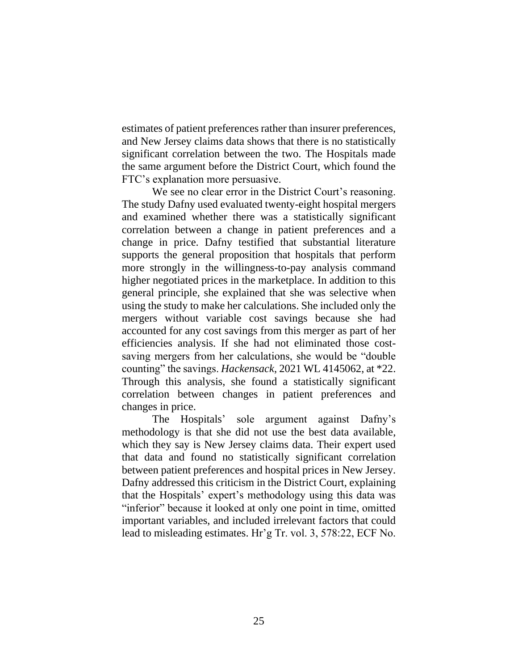estimates of patient preferences rather than insurer preferences, and New Jersey claims data shows that there is no statistically significant correlation between the two. The Hospitals made the same argument before the District Court, which found the FTC's explanation more persuasive.

We see no clear error in the District Court's reasoning. The study Dafny used evaluated twenty-eight hospital mergers and examined whether there was a statistically significant correlation between a change in patient preferences and a change in price. Dafny testified that substantial literature supports the general proposition that hospitals that perform more strongly in the willingness-to-pay analysis command higher negotiated prices in the marketplace. In addition to this general principle, she explained that she was selective when using the study to make her calculations. She included only the mergers without variable cost savings because she had accounted for any cost savings from this merger as part of her efficiencies analysis. If she had not eliminated those costsaving mergers from her calculations, she would be "double counting" the savings. *Hackensack*, 2021 WL 4145062, at \*22. Through this analysis, she found a statistically significant correlation between changes in patient preferences and changes in price.

The Hospitals' sole argument against Dafny's methodology is that she did not use the best data available, which they say is New Jersey claims data. Their expert used that data and found no statistically significant correlation between patient preferences and hospital prices in New Jersey. Dafny addressed this criticism in the District Court, explaining that the Hospitals' expert's methodology using this data was "inferior" because it looked at only one point in time, omitted important variables, and included irrelevant factors that could lead to misleading estimates. Hr'g Tr. vol. 3, 578:22, ECF No.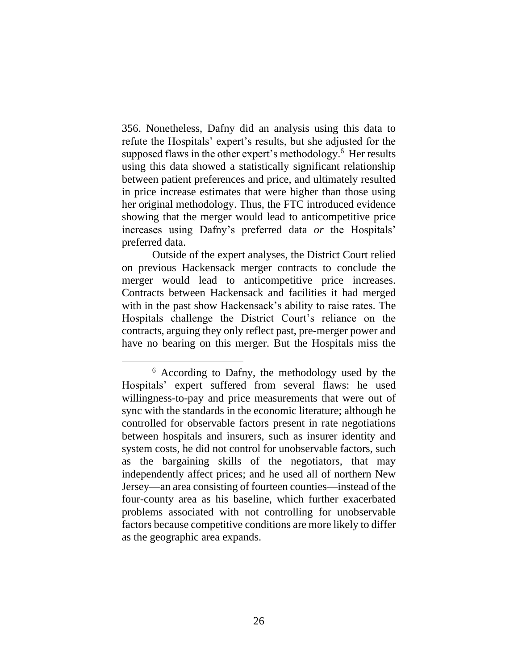356. Nonetheless, Dafny did an analysis using this data to refute the Hospitals' expert's results, but she adjusted for the supposed flaws in the other expert's methodology.<sup>6</sup> Her results using this data showed a statistically significant relationship between patient preferences and price, and ultimately resulted in price increase estimates that were higher than those using her original methodology. Thus, the FTC introduced evidence showing that the merger would lead to anticompetitive price increases using Dafny's preferred data *or* the Hospitals' preferred data.

Outside of the expert analyses, the District Court relied on previous Hackensack merger contracts to conclude the merger would lead to anticompetitive price increases. Contracts between Hackensack and facilities it had merged with in the past show Hackensack's ability to raise rates. The Hospitals challenge the District Court's reliance on the contracts, arguing they only reflect past, pre-merger power and have no bearing on this merger. But the Hospitals miss the

<sup>6</sup> According to Dafny, the methodology used by the Hospitals' expert suffered from several flaws: he used willingness-to-pay and price measurements that were out of sync with the standards in the economic literature; although he controlled for observable factors present in rate negotiations between hospitals and insurers, such as insurer identity and system costs, he did not control for unobservable factors, such as the bargaining skills of the negotiators, that may independently affect prices; and he used all of northern New Jersey—an area consisting of fourteen counties—instead of the four-county area as his baseline, which further exacerbated problems associated with not controlling for unobservable factors because competitive conditions are more likely to differ as the geographic area expands.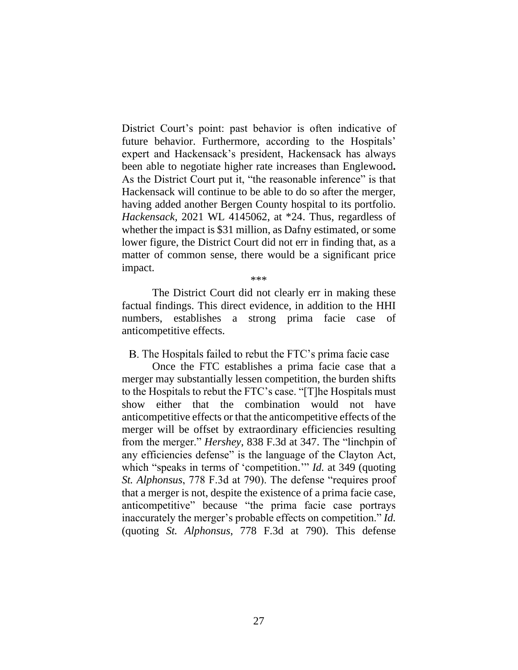District Court's point: past behavior is often indicative of future behavior. Furthermore, according to the Hospitals' expert and Hackensack's president, Hackensack has always been able to negotiate higher rate increases than Englewood**.**  As the District Court put it, "the reasonable inference" is that Hackensack will continue to be able to do so after the merger, having added another Bergen County hospital to its portfolio. *Hackensack*, 2021 WL 4145062, at \*24. Thus, regardless of whether the impact is \$31 million, as Dafny estimated, or some lower figure, the District Court did not err in finding that, as a matter of common sense, there would be a significant price impact.

\*\*\*

The District Court did not clearly err in making these factual findings. This direct evidence, in addition to the HHI numbers, establishes a strong prima facie case of anticompetitive effects.

B. The Hospitals failed to rebut the FTC's prima facie case

Once the FTC establishes a prima facie case that a merger may substantially lessen competition, the burden shifts to the Hospitals to rebut the FTC's case. "[T]he Hospitals must show either that the combination would not have anticompetitive effects or that the anticompetitive effects of the merger will be offset by extraordinary efficiencies resulting from the merger." *Hershey*, 838 F.3d at 347. The "linchpin of any efficiencies defense" is the language of the Clayton Act, which "speaks in terms of 'competition.'" *Id.* at 349 (quoting *St. Alphonsus*, 778 F.3d at 790). The defense "requires proof that a merger is not, despite the existence of a prima facie case, anticompetitive" because "the prima facie case portrays inaccurately the merger's probable effects on competition." *Id.* (quoting *St. Alphonsus*, 778 F.3d at 790). This defense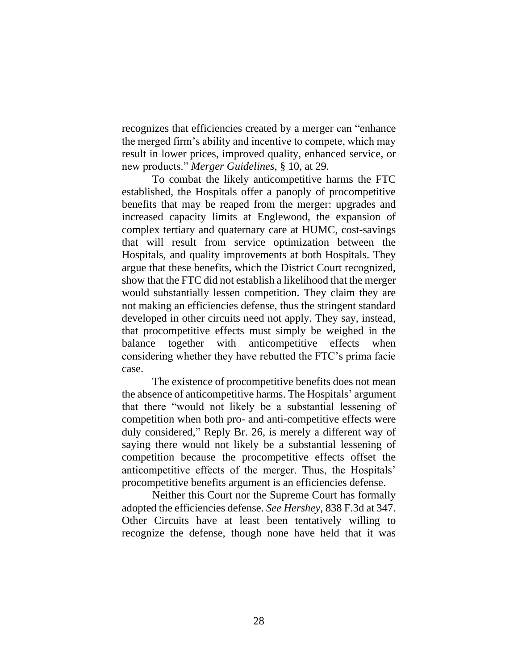recognizes that efficiencies created by a merger can "enhance the merged firm's ability and incentive to compete, which may result in lower prices, improved quality, enhanced service, or new products." *Merger Guidelines*, § 10, at 29.

To combat the likely anticompetitive harms the FTC established, the Hospitals offer a panoply of procompetitive benefits that may be reaped from the merger: upgrades and increased capacity limits at Englewood, the expansion of complex tertiary and quaternary care at HUMC, cost-savings that will result from service optimization between the Hospitals, and quality improvements at both Hospitals. They argue that these benefits, which the District Court recognized, show that the FTC did not establish a likelihood that the merger would substantially lessen competition. They claim they are not making an efficiencies defense, thus the stringent standard developed in other circuits need not apply. They say, instead, that procompetitive effects must simply be weighed in the balance together with anticompetitive effects when considering whether they have rebutted the FTC's prima facie case.

The existence of procompetitive benefits does not mean the absence of anticompetitive harms. The Hospitals' argument that there "would not likely be a substantial lessening of competition when both pro- and anti-competitive effects were duly considered," Reply Br. 26, is merely a different way of saying there would not likely be a substantial lessening of competition because the procompetitive effects offset the anticompetitive effects of the merger. Thus, the Hospitals' procompetitive benefits argument is an efficiencies defense.

Neither this Court nor the Supreme Court has formally adopted the efficiencies defense. *See Hershey*, 838 F.3d at 347. Other Circuits have at least been tentatively willing to recognize the defense, though none have held that it was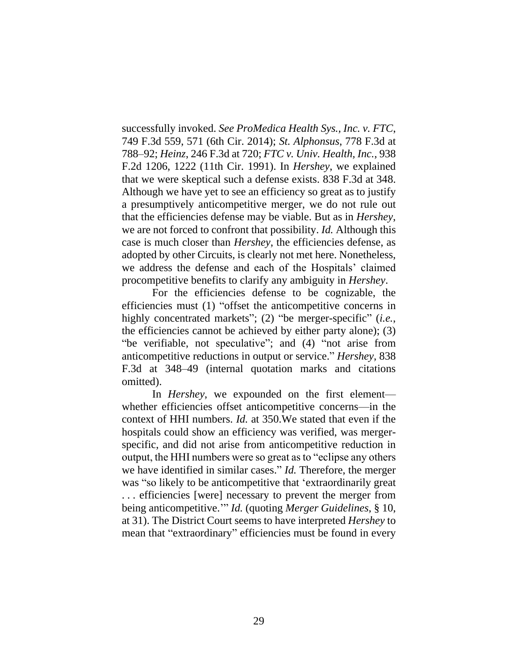successfully invoked. *See ProMedica Health Sys., Inc. v. FTC*, 749 F.3d 559, 571 (6th Cir. 2014); *St. Alphonsus*, 778 F.3d at 788–92; *Heinz*, 246 F.3d at 720; *FTC v. Univ. Health, Inc.*, 938 F.2d 1206, 1222 (11th Cir. 1991). In *Hershey*, we explained that we were skeptical such a defense exists. 838 F.3d at 348. Although we have yet to see an efficiency so great as to justify a presumptively anticompetitive merger, we do not rule out that the efficiencies defense may be viable. But as in *Hershey*, we are not forced to confront that possibility. *Id.* Although this case is much closer than *Hershey*, the efficiencies defense, as adopted by other Circuits, is clearly not met here. Nonetheless, we address the defense and each of the Hospitals' claimed procompetitive benefits to clarify any ambiguity in *Hershey*.

For the efficiencies defense to be cognizable, the efficiencies must (1) "offset the anticompetitive concerns in highly concentrated markets"; (2) "be merger-specific" (*i.e.*, the efficiencies cannot be achieved by either party alone); (3) "be verifiable, not speculative"; and (4) "not arise from anticompetitive reductions in output or service." *Hershey*, 838 F.3d at 348–49 (internal quotation marks and citations omitted).

In *Hershey*, we expounded on the first element whether efficiencies offset anticompetitive concerns—in the context of HHI numbers. *Id.* at 350.We stated that even if the hospitals could show an efficiency was verified, was mergerspecific, and did not arise from anticompetitive reduction in output, the HHI numbers were so great as to "eclipse any others we have identified in similar cases." *Id.* Therefore, the merger was "so likely to be anticompetitive that 'extraordinarily great . . . efficiencies [were] necessary to prevent the merger from being anticompetitive.'" *Id.* (quoting *Merger Guidelines*, § 10, at 31). The District Court seems to have interpreted *Hershey* to mean that "extraordinary" efficiencies must be found in every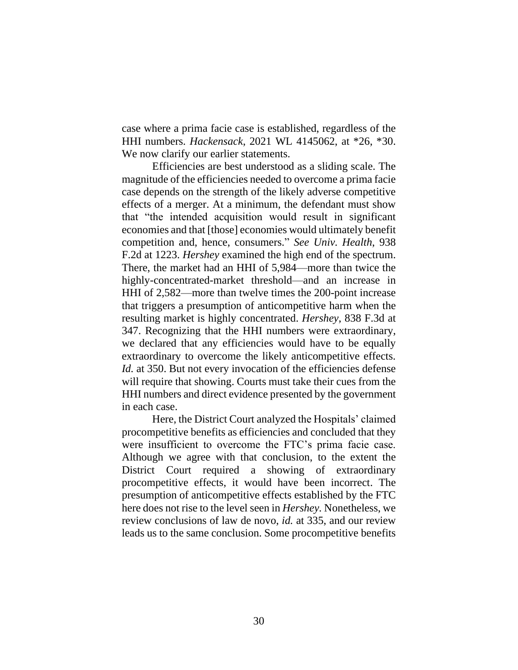case where a prima facie case is established, regardless of the HHI numbers. *Hackensack*, 2021 WL 4145062, at \*26, \*30. We now clarify our earlier statements.

Efficiencies are best understood as a sliding scale. The magnitude of the efficiencies needed to overcome a prima facie case depends on the strength of the likely adverse competitive effects of a merger. At a minimum, the defendant must show that "the intended acquisition would result in significant economies and that [those] economies would ultimately benefit competition and, hence, consumers." *See Univ. Health*, 938 F.2d at 1223. *Hershey* examined the high end of the spectrum. There, the market had an HHI of 5,984—more than twice the highly-concentrated-market threshold—and an increase in HHI of 2,582—more than twelve times the 200-point increase that triggers a presumption of anticompetitive harm when the resulting market is highly concentrated. *Hershey*, 838 F.3d at 347. Recognizing that the HHI numbers were extraordinary, we declared that any efficiencies would have to be equally extraordinary to overcome the likely anticompetitive effects. *Id.* at 350. But not every invocation of the efficiencies defense will require that showing. Courts must take their cues from the HHI numbers and direct evidence presented by the government in each case.

Here, the District Court analyzed the Hospitals' claimed procompetitive benefits as efficiencies and concluded that they were insufficient to overcome the FTC's prima facie case. Although we agree with that conclusion, to the extent the District Court required a showing of extraordinary procompetitive effects, it would have been incorrect. The presumption of anticompetitive effects established by the FTC here does not rise to the level seen in *Hershey.* Nonetheless, we review conclusions of law de novo, *id.* at 335, and our review leads us to the same conclusion. Some procompetitive benefits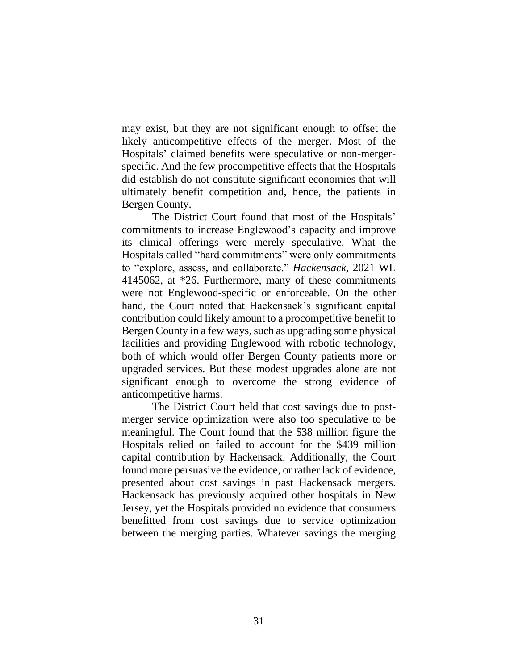may exist, but they are not significant enough to offset the likely anticompetitive effects of the merger. Most of the Hospitals' claimed benefits were speculative or non-mergerspecific. And the few procompetitive effects that the Hospitals did establish do not constitute significant economies that will ultimately benefit competition and, hence, the patients in Bergen County.

The District Court found that most of the Hospitals' commitments to increase Englewood's capacity and improve its clinical offerings were merely speculative. What the Hospitals called "hard commitments" were only commitments to "explore, assess, and collaborate." *Hackensack*, 2021 WL 4145062, at \*26. Furthermore, many of these commitments were not Englewood-specific or enforceable. On the other hand, the Court noted that Hackensack's significant capital contribution could likely amount to a procompetitive benefit to Bergen County in a few ways, such as upgrading some physical facilities and providing Englewood with robotic technology, both of which would offer Bergen County patients more or upgraded services. But these modest upgrades alone are not significant enough to overcome the strong evidence of anticompetitive harms.

The District Court held that cost savings due to postmerger service optimization were also too speculative to be meaningful. The Court found that the \$38 million figure the Hospitals relied on failed to account for the \$439 million capital contribution by Hackensack. Additionally, the Court found more persuasive the evidence, or rather lack of evidence, presented about cost savings in past Hackensack mergers. Hackensack has previously acquired other hospitals in New Jersey, yet the Hospitals provided no evidence that consumers benefitted from cost savings due to service optimization between the merging parties. Whatever savings the merging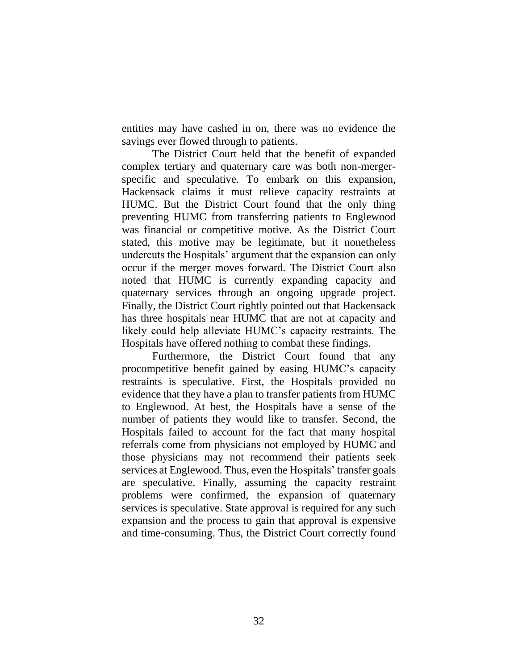entities may have cashed in on, there was no evidence the savings ever flowed through to patients.

The District Court held that the benefit of expanded complex tertiary and quaternary care was both non-mergerspecific and speculative. To embark on this expansion, Hackensack claims it must relieve capacity restraints at HUMC. But the District Court found that the only thing preventing HUMC from transferring patients to Englewood was financial or competitive motive. As the District Court stated, this motive may be legitimate, but it nonetheless undercuts the Hospitals' argument that the expansion can only occur if the merger moves forward. The District Court also noted that HUMC is currently expanding capacity and quaternary services through an ongoing upgrade project. Finally, the District Court rightly pointed out that Hackensack has three hospitals near HUMC that are not at capacity and likely could help alleviate HUMC's capacity restraints. The Hospitals have offered nothing to combat these findings.

Furthermore, the District Court found that any procompetitive benefit gained by easing HUMC's capacity restraints is speculative. First, the Hospitals provided no evidence that they have a plan to transfer patients from HUMC to Englewood. At best, the Hospitals have a sense of the number of patients they would like to transfer. Second, the Hospitals failed to account for the fact that many hospital referrals come from physicians not employed by HUMC and those physicians may not recommend their patients seek services at Englewood. Thus, even the Hospitals' transfer goals are speculative. Finally, assuming the capacity restraint problems were confirmed, the expansion of quaternary services is speculative. State approval is required for any such expansion and the process to gain that approval is expensive and time-consuming. Thus, the District Court correctly found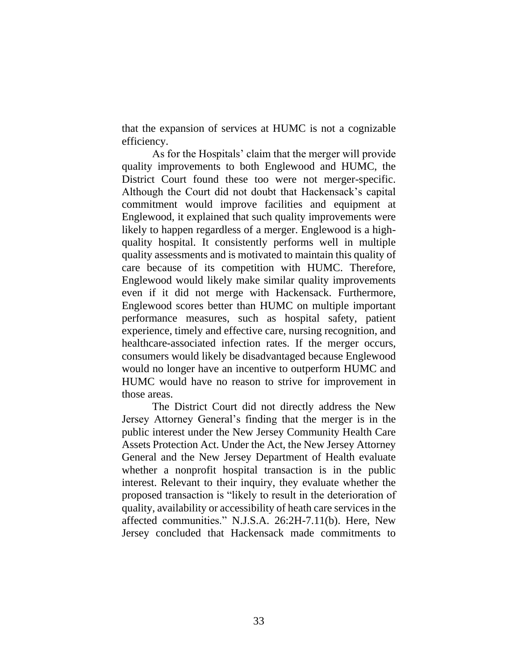that the expansion of services at HUMC is not a cognizable efficiency.

As for the Hospitals' claim that the merger will provide quality improvements to both Englewood and HUMC, the District Court found these too were not merger-specific. Although the Court did not doubt that Hackensack's capital commitment would improve facilities and equipment at Englewood, it explained that such quality improvements were likely to happen regardless of a merger. Englewood is a highquality hospital. It consistently performs well in multiple quality assessments and is motivated to maintain this quality of care because of its competition with HUMC. Therefore, Englewood would likely make similar quality improvements even if it did not merge with Hackensack. Furthermore, Englewood scores better than HUMC on multiple important performance measures, such as hospital safety, patient experience, timely and effective care, nursing recognition, and healthcare-associated infection rates. If the merger occurs, consumers would likely be disadvantaged because Englewood would no longer have an incentive to outperform HUMC and HUMC would have no reason to strive for improvement in those areas.

The District Court did not directly address the New Jersey Attorney General's finding that the merger is in the public interest under the New Jersey Community Health Care Assets Protection Act. Under the Act, the New Jersey Attorney General and the New Jersey Department of Health evaluate whether a nonprofit hospital transaction is in the public interest. Relevant to their inquiry, they evaluate whether the proposed transaction is "likely to result in the deterioration of quality, availability or accessibility of heath care services in the affected communities." N.J.S.A. 26:2H-7.11(b). Here, New Jersey concluded that Hackensack made commitments to